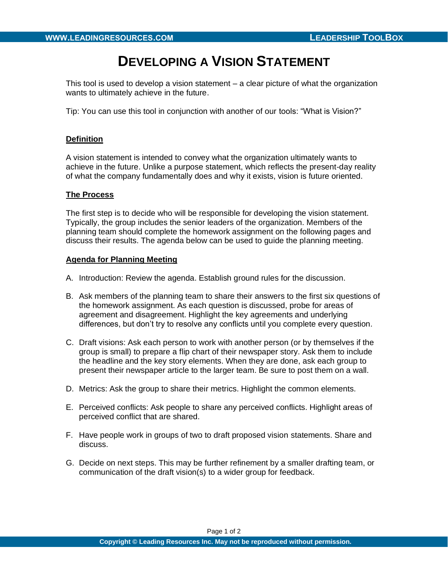# **DEVELOPING A VISION STATEMENT**

This tool is used to develop a vision statement – a clear picture of what the organization wants to ultimately achieve in the future.

Tip: You can use this tool in conjunction with another of our tools: "What is Vision?"

### **Definition**

A vision statement is intended to convey what the organization ultimately wants to achieve in the future. Unlike a purpose statement, which reflects the present-day reality of what the company fundamentally does and why it exists, vision is future oriented.

#### **The Process**

The first step is to decide who will be responsible for developing the vision statement. Typically, the group includes the senior leaders of the organization. Members of the planning team should complete the homework assignment on the following pages and discuss their results. The agenda below can be used to guide the planning meeting.

### **Agenda for Planning Meeting**

- A. Introduction: Review the agenda. Establish ground rules for the discussion.
- B. Ask members of the planning team to share their answers to the first six questions of the homework assignment. As each question is discussed, probe for areas of agreement and disagreement. Highlight the key agreements and underlying differences, but don't try to resolve any conflicts until you complete every question.
- C. Draft visions: Ask each person to work with another person (or by themselves if the group is small) to prepare a flip chart of their newspaper story. Ask them to include the headline and the key story elements. When they are done, ask each group to present their newspaper article to the larger team. Be sure to post them on a wall.
- D. Metrics: Ask the group to share their metrics. Highlight the common elements.
- E. Perceived conflicts: Ask people to share any perceived conflicts. Highlight areas of perceived conflict that are shared.
- F. Have people work in groups of two to draft proposed vision statements. Share and discuss.
- G. Decide on next steps. This may be further refinement by a smaller drafting team, or communication of the draft vision(s) to a wider group for feedback.